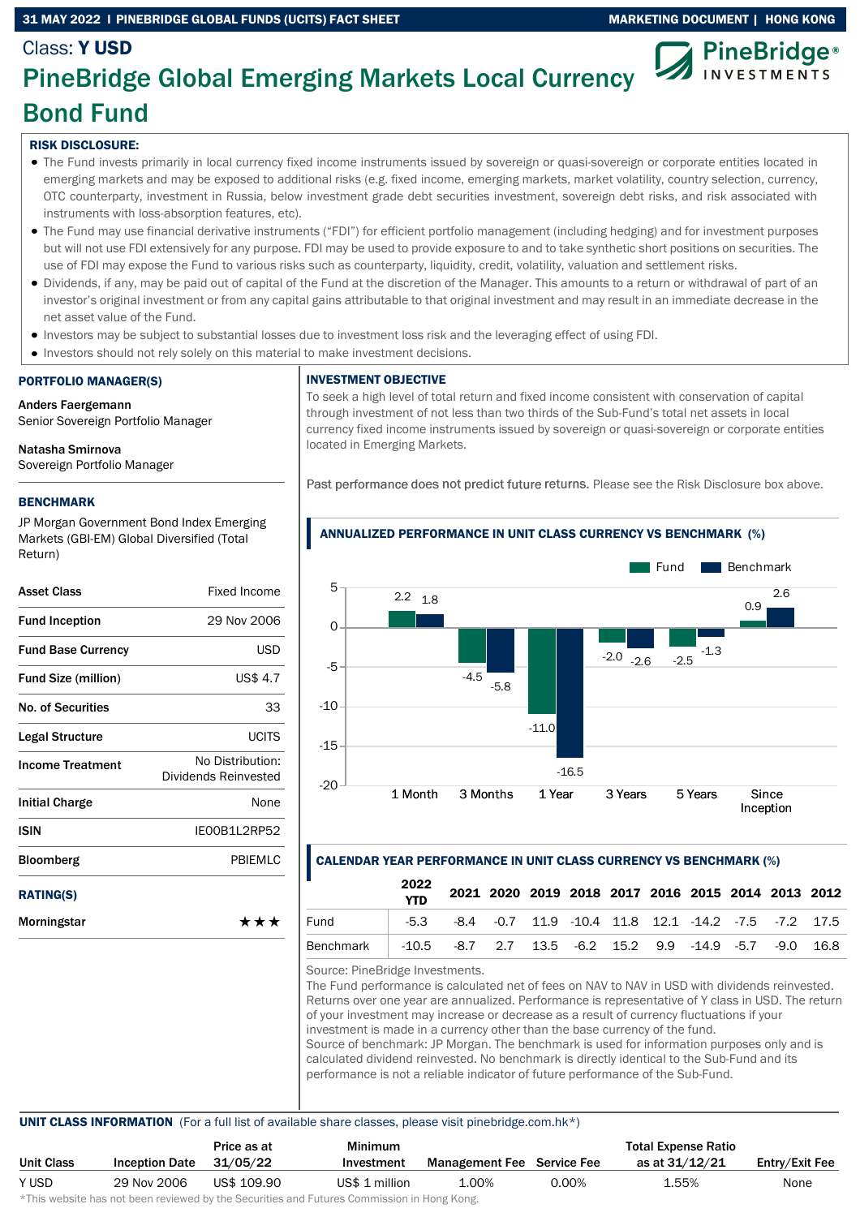### 31 MAY 2022 I PINEBRIDGE GLOBAL FUNDS (UCITS) FACT SHEET MARKETING DOCUMENT | HONG KONG



# Class: Y USD PineBridge Global Emerging Markets Local Currency Bond Fund

## RISK DISCLOSURE:

- The Fund invests primarily in local currency fixed income instruments issued by sovereign or quasi-sovereign or corporate entities located in emerging markets and may be exposed to additional risks (e.g. fixed income, emerging markets, market volatility, country selection, currency, OTC counterparty, investment in Russia, below investment grade debt securities investment, sovereign debt risks, and risk associated with instruments with loss-absorption features, etc).
- The Fund may use financial derivative instruments ("FDI") for efficient portfolio management (including hedging) and for investment purposes but will not use FDI extensively for any purpose. FDI may be used to provide exposure to and to take synthetic short positions on securities. The use of FDI may expose the Fund to various risks such as counterparty, liquidity, credit, volatility, valuation and settlement risks.
- Dividends, if any, may be paid out of capital of the Fund at the discretion of the Manager. This amounts to a return or withdrawal of part of an investor's original investment or from any capital gains attributable to that original investment and may result in an immediate decrease in the net asset value of the Fund.
- Investors may be subject to substantial losses due to investment loss risk and the leveraging effect of using FDI.
- Investors should not rely solely on this material to make investment decisions.

## PORTFOLIO MANAGER(S)

Anders Faergemann Senior Sovereign Portfolio Manager

Natasha Smirnova

Sovereign Portfolio Manager

## BENCHMARK

JP Morgan Government Bond Index Emerging Markets (GBI-EM) Global Diversified (Total Return)

| <b>Asset Class</b>         | <b>Fixed Income</b>                      |
|----------------------------|------------------------------------------|
| <b>Fund Inception</b>      | 29 Nov 2006                              |
| <b>Fund Base Currency</b>  | <b>USD</b>                               |
| <b>Fund Size (million)</b> | US\$ 4.7                                 |
| <b>No. of Securities</b>   | 33                                       |
| Legal Structure            | <b>UCITS</b>                             |
| <b>Income Treatment</b>    | No Distribution:<br>Dividends Reinvested |
| <b>Initial Charge</b>      | None                                     |
| ISIN                       | IE00B1L2RP52                             |
| <b>Bloomberg</b>           | PBIEMLC                                  |
| <b>RATING(S)</b>           |                                          |
| Morningstar                | ***                                      |

#### INVESTMENT OBJECTIVE

To seek a high level of total return and fixed income consistent with conservation of capital through investment of not less than two thirds of the Sub-Fund's total net assets in local currency fixed income instruments issued by sovereign or quasi-sovereign or corporate entities located in Emerging Markets.

Past performance does not predict future returns. Please see the Risk Disclosure box above.



#### ANNUALIZED PERFORMANCE IN UNIT CLASS CURRENCY VS BENCHMARK (%)

## CALENDAR YEAR PERFORMANCE IN UNIT CLASS CURRENCY VS BENCHMARK (%)

|           | 2022<br>YTD |                                                                              |  |  |  |  | 2021 2020 2019 2018 2017 2016 2015 2014 2013 2012 |
|-----------|-------------|------------------------------------------------------------------------------|--|--|--|--|---------------------------------------------------|
| Fund      |             | $-5.3$ $-8.4$ $-0.7$ 11.9 $-10.4$ 11.8 12.1 $-14.2$ $-7.5$ $-7.2$ 17.5       |  |  |  |  |                                                   |
| Benchmark |             | $-10.5$ $-8.7$ $2.7$ $13.5$ $-6.2$ $15.2$ $9.9$ $-14.9$ $-5.7$ $-9.0$ $16.8$ |  |  |  |  |                                                   |

Source: PineBridge Investments.

The Fund performance is calculated net of fees on NAV to NAV in USD with dividends reinvested. Returns over one year are annualized. Performance is representative of Y class in USD. The return of your investment may increase or decrease as a result of currency fluctuations if your investment is made in a currency other than the base currency of the fund. Source of benchmark: JP Morgan. The benchmark is used for information purposes only and is calculated dividend reinvested. No benchmark is directly identical to the Sub-Fund and its performance is not a reliable indicator of future performance of the Sub-Fund.

#### UNIT CLASS INFORMATION (For a full list of available share classes, please visit pinebridge.com.hk\*)

|                   |                       | Price as at | Minimum        |                                   |          | <b>Total Expense Ratio</b> |                |
|-------------------|-----------------------|-------------|----------------|-----------------------------------|----------|----------------------------|----------------|
| <b>Unit Class</b> | <b>Inception Date</b> | 31/05/22    | Investment     | <b>Management Fee</b> Service Fee |          | as at 31/12/21             | Entry/Exit Fee |
| Y USD             | 29 Nov 2006           | US\$ 109.90 | US\$ 1 million | 1.00%                             | $0.00\%$ | 1.55%                      | None           |

\*This website has not been reviewed by the Securities and Futures Commission in Hong Kong.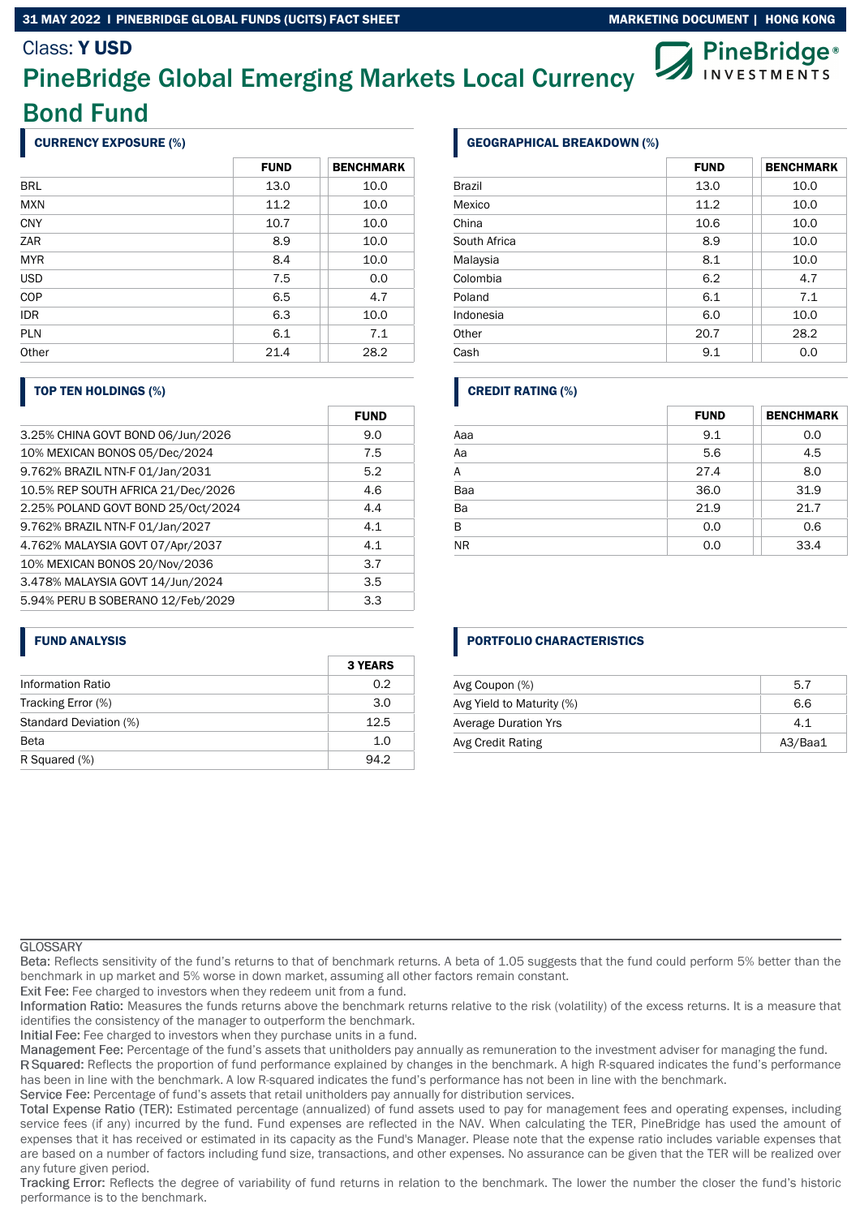#### 31 MAY 2022 I PINEBRIDGE GLOBAL FUNDS (UCITS) FACT SHEET MARKETING DOCUMENT | HONG KONG

## Class: Y USD



# PineBridge Global Emerging Markets Local Currency Bond Fund

## CURRENCY EXPOSURE (%)

|            | <b>FUND</b> | <b>BENCHMARK</b> |
|------------|-------------|------------------|
| <b>BRL</b> | 13.0        | 10.0             |
| <b>MXN</b> | 11.2        | 10.0             |
| <b>CNY</b> | 10.7        | 10.0             |
| ZAR        | 8.9         | 10.0             |
| <b>MYR</b> | 8.4         | 10.0             |
| <b>USD</b> | 7.5         | 0.0              |
| COP        | 6.5         | 4.7              |
| <b>IDR</b> | 6.3         | 10.0             |
| <b>PLN</b> | 6.1         | 7.1              |
| Other      | 21.4        | 28.2             |

#### TOP TEN HOLDINGS (%)

|                                    | <b>FUND</b> |
|------------------------------------|-------------|
| 3.25% CHINA GOVT BOND 06/Jun/2026  | 9.0         |
| 10% MEXICAN BONOS 05/Dec/2024      | 7.5         |
| 9.762% BRAZIL NTN-F 01/Jan/2031    | 5.2         |
| 10.5% REP SOUTH AFRICA 21/Dec/2026 | 4.6         |
| 2.25% POLAND GOVT BOND 25/Oct/2024 | 4.4         |
| 9.762% BRAZIL NTN-F 01/Jan/2027    | 4.1         |
| 4.762% MALAYSIA GOVT 07/Apr/2037   | 4.1         |
| 10% MEXICAN BONOS 20/Nov/2036      | 3.7         |
| 3.478% MALAYSIA GOVT 14/Jun/2024   | 3.5         |
| 5.94% PERU B SOBERANO 12/Feb/2029  | 3.3         |

#### FUND ANALYSIS

|                          | <b>3 YEARS</b> |
|--------------------------|----------------|
| <b>Information Ratio</b> | 0.2            |
| Tracking Error (%)       | 3.0            |
| Standard Deviation (%)   | 12.5           |
| <b>Beta</b>              | 1.0            |
| R Squared (%)            | 94.2           |

### GEOGRAPHICAL BREAKDOWN (%)

|               | <b>FUND</b> | <b>BENCHMARK</b> |
|---------------|-------------|------------------|
| <b>Brazil</b> | 13.0        | 10.0             |
| Mexico        | 11.2        | 10.0             |
| China         | 10.6        | 10.0             |
| South Africa  | 8.9         | 10.0             |
| Malaysia      | 8.1         | 10.0             |
| Colombia      | 6.2         | 4.7              |
| Poland        | 6.1         | 7.1              |
| Indonesia     | 6.0         | 10.0             |
| Other         | 20.7        | 28.2             |
| Cash          | 9.1         | 0.0              |

## CREDIT RATING (%)

|           | <b>FUND</b> | <b>BENCHMARK</b> |
|-----------|-------------|------------------|
| Aaa       | 9.1         | 0.0              |
| Aa        | 5.6         | 4.5              |
| A         | 27.4        | 8.0              |
| Baa       | 36.0        | 31.9             |
| Ba        | 21.9        | 21.7             |
| B         | 0.0         | 0.6              |
| <b>NR</b> | 0.0         | 33.4             |

## PORTFOLIO CHARACTERISTICS

| Avg Coupon (%)              | 5.7     |
|-----------------------------|---------|
| Avg Yield to Maturity (%)   | 6.6     |
| <b>Average Duration Yrs</b> | 4.1     |
| Avg Credit Rating           | A3/Baa1 |

#### **GLOSSARY**

Reflects sensitivity of the fund's returns to that of benchmark returns. A beta of 1.05 suggests that the fund could perform 5% better than the benchmark in up market and 5% worse in down market, assuming all other factors remain constant.

Exit Fee: Fee charged to investors when they redeem unit from a fund.

Information Ratio: Measures the funds returns above the benchmark returns relative to the risk (volatility) of the excess returns. It is a measure that identifies the consistency of the manager to outperform the benchmark.

Initial Fee: Fee charged to investors when they purchase units in a fund.

Management Fee: Percentage of the fund's assets that unitholders pay annually as remuneration to the investment adviser for managing the fund.

R Squared: Reflects the proportion of fund performance explained by changes in the benchmark. A high R-squared indicates the fund's performance has been in line with the benchmark. A low R-squared indicates the fund's performance has not been in line with the benchmark.

Service Fee: Percentage of fund's assets that retail unitholders pay annually for distribution services.

Total Expense Ratio (TER): Estimated percentage (annualized) of fund assets used to pay for management fees and operating expenses, including service fees (if any) incurred by the fund. Fund expenses are reflected in the NAV. When calculating the TER, PineBridge has used the amount of expenses that it has received or estimated in its capacity as the Fund's Manager. Please note that the expense ratio includes variable expenses that are based on a number of factors including fund size, transactions, and other expenses. No assurance can be given that the TER will be realized over any future given period.

Tracking Error: Reflects the degree of variability of fund returns in relation to the benchmark. The lower the number the closer the fund's historic performance is to the benchmark.